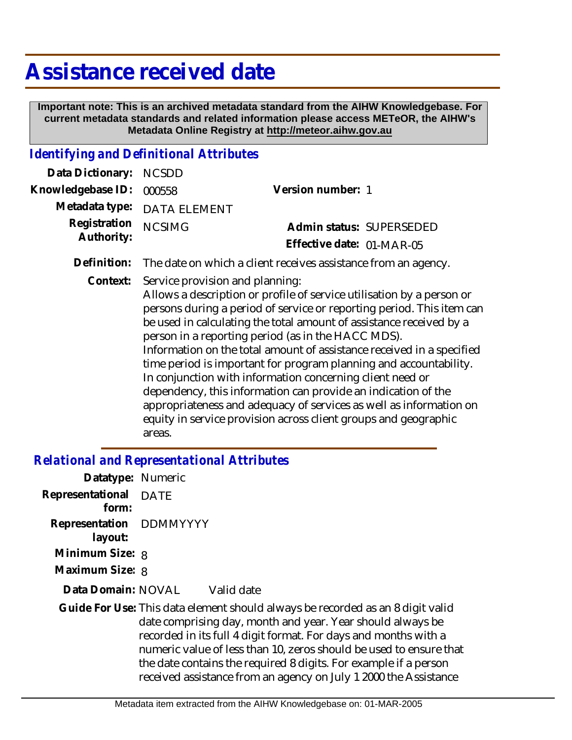## **Assistance received date**

 **Important note: This is an archived metadata standard from the AIHW Knowledgebase. For current metadata standards and related information please access METeOR, the AIHW's Metadata Online Registry at http://meteor.aihw.gov.au**

## *Identifying and Definitional Attributes*

| Data Dictionary:           | <b>NCSDD</b>                              |                                                                                                                                                                                                                                                                                                                                                                                                                                                                                                                                                                                                                                                                                                  |
|----------------------------|-------------------------------------------|--------------------------------------------------------------------------------------------------------------------------------------------------------------------------------------------------------------------------------------------------------------------------------------------------------------------------------------------------------------------------------------------------------------------------------------------------------------------------------------------------------------------------------------------------------------------------------------------------------------------------------------------------------------------------------------------------|
| Knowledgebase ID:          | 000558                                    | Version number: 1                                                                                                                                                                                                                                                                                                                                                                                                                                                                                                                                                                                                                                                                                |
| Metadata type:             | <b>DATA ELEMENT</b>                       |                                                                                                                                                                                                                                                                                                                                                                                                                                                                                                                                                                                                                                                                                                  |
| Registration<br>Authority: | <b>NCSIMG</b>                             | Admin status: SUPERSEDED                                                                                                                                                                                                                                                                                                                                                                                                                                                                                                                                                                                                                                                                         |
|                            |                                           | Effective date: 01-MAR-05                                                                                                                                                                                                                                                                                                                                                                                                                                                                                                                                                                                                                                                                        |
| Definition:                |                                           | The date on which a client receives assistance from an agency.                                                                                                                                                                                                                                                                                                                                                                                                                                                                                                                                                                                                                                   |
| Context:                   | Service provision and planning:<br>areas. | Allows a description or profile of service utilisation by a person or<br>persons during a period of service or reporting period. This item can<br>be used in calculating the total amount of assistance received by a<br>person in a reporting period (as in the HACC MDS).<br>Information on the total amount of assistance received in a specified<br>time period is important for program planning and accountability.<br>In conjunction with information concerning client need or<br>dependency, this information can provide an indication of the<br>appropriateness and adequacy of services as well as information on<br>equity in service provision across client groups and geographic |

## *Relational and Representational Attributes*

| Datatype: Numeric                  |             |                                                                                                                                                                                                                                                                                                                                                                                                                               |
|------------------------------------|-------------|-------------------------------------------------------------------------------------------------------------------------------------------------------------------------------------------------------------------------------------------------------------------------------------------------------------------------------------------------------------------------------------------------------------------------------|
| Representational<br>form:          | <b>DATE</b> |                                                                                                                                                                                                                                                                                                                                                                                                                               |
| Representation DDMMYYYY<br>layout: |             |                                                                                                                                                                                                                                                                                                                                                                                                                               |
| Minimum Size: 8                    |             |                                                                                                                                                                                                                                                                                                                                                                                                                               |
| Maximum Size: 8                    |             |                                                                                                                                                                                                                                                                                                                                                                                                                               |
| Data Domain: NOVAL                 |             | Valid date                                                                                                                                                                                                                                                                                                                                                                                                                    |
|                                    |             | Guide For Use: This data element should always be recorded as an 8 digit valid<br>date comprising day, month and year. Year should always be<br>recorded in its full 4 digit format. For days and months with a<br>numeric value of less than 10, zeros should be used to ensure that<br>the date contains the required 8 digits. For example if a person<br>received assistance from an agency on July 1 2000 the Assistance |